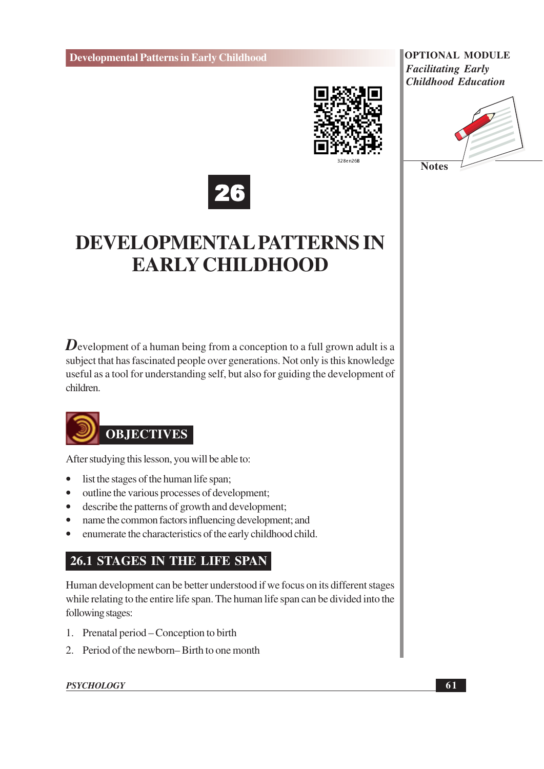

**OPTIONAL MODULE Facilitating Early Childhood Education** 





# **DEVELOPMENTAL PATTERNS IN EARLY CHILDHOOD**

**D** evelopment of a human being from a conception to a full grown adult is a subject that has fascinated people over generations. Not only is this knowledge useful as a tool for understanding self, but also for guiding the development of children



After studying this lesson, you will be able to:

- list the stages of the human life span;  $\bullet$
- outline the various processes of development;  $\bullet$
- describe the patterns of growth and development;  $\bullet$
- $\bullet$ name the common factors influencing development; and
- enumerate the characteristics of the early childhood child.  $\bullet$

### **26.1 STAGES IN THE LIFE SPAN**

Human development can be better understood if we focus on its different stages while relating to the entire life span. The human life span can be divided into the following stages:

- 1. Prenatal period Conception to birth
- 2. Period of the newborn–Birth to one month

#### **PSYCHOLOGY**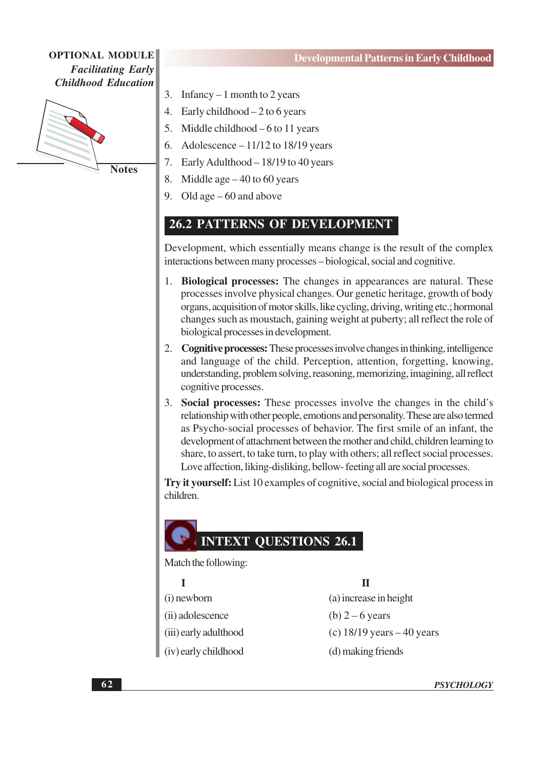

**Notes** 

- Infancy  $-1$  month to 2 years 3.
- Early childhood  $-2$  to 6 years  $\overline{4}$ .
- $5<sub>1</sub>$ Middle childhood  $-6$  to 11 years
- Adolescence  $-11/12$  to 18/19 years 6.
- Early Adulthood 18/19 to 40 years 7.
- 8. Middle age  $-40$  to 60 years
- 9. Old age  $-60$  and above

### **26.2 PATTERNS OF DEVELOPMENT**

Development, which essentially means change is the result of the complex interactions between many processes – biological, social and cognitive.

- 1. Biological processes: The changes in appearances are natural. These processes involve physical changes. Our genetic heritage, growth of body organs, acquisition of motor skills, like cycling, driving, writing etc.; hormonal changes such as moustach, gaining weight at puberty; all reflect the role of biological processes in development.
- 2. Cognitive processes: These processes involve changes in thinking, intelligence and language of the child. Perception, attention, forgetting, knowing, understanding, problem solving, reasoning, memorizing, imagining, all reflect cognitive processes.
- 3. Social processes: These processes involve the changes in the child's relationship with other people, emotions and personality. These are also termed as Psycho-social processes of behavior. The first smile of an infant, the development of attachment between the mother and child, children learning to share, to assert, to take turn, to play with others; all reflect social processes. Love affection, liking-disliking, bellow-feeting all are social processes.

Try it yourself: List 10 examples of cognitive, social and biological process in children.

### **INTEXT OUESTIONS 26.1**

Match the following:

 $\mathbf{I}$ 

(i) newborn

(ii) adolescence

(iii) early adulthood

(iv) early childhood

 $\Pi$ 

(a) increase in height (b)  $2 - 6$  years (c)  $18/19$  years  $-40$  years (d) making friends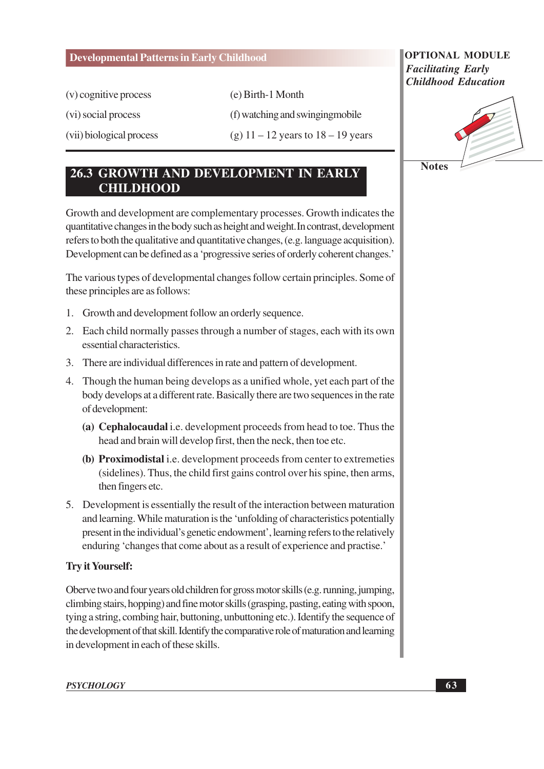(v) cognitive process

(vi) social process

(vii) biological process

(e) Birth-1 Month

(f) watching and swinging mobile

(g)  $11 - 12$  years to  $18 - 19$  years

### 26.3 GROWTH AND DEVELOPMENT IN EARLY **CHILDHOOD**

Growth and development are complementary processes. Growth indicates the quantitative changes in the body such as height and weight. In contrast, development refers to both the qualitative and quantitative changes, (e.g. language acquisition). Development can be defined as a 'progressive series of orderly coherent changes.'

The various types of developmental changes follow certain principles. Some of these principles are as follows:

- 1. Growth and development follow an orderly sequence.
- 2. Each child normally passes through a number of stages, each with its own essential characteristics.
- 3. There are individual differences in rate and pattern of development.
- 4. Though the human being develops as a unified whole, yet each part of the body develops at a different rate. Basically there are two sequences in the rate of development:
	- (a) Cephalocaudal i.e. development proceeds from head to toe. Thus the head and brain will develop first, then the neck, then toe etc.
	- (b) Proximodistal i.e. development proceeds from center to extremeties (sidelines). Thus, the child first gains control over his spine, then arms, then fingers etc.
- 5. Development is essentially the result of the interaction between maturation and learning. While maturation is the 'unfolding of characteristics potentially present in the individual's genetic endowment', learning refers to the relatively enduring 'changes that come about as a result of experience and practise.'

### **Try it Yourself:**

Oberve two and four years old children for gross motor skills (e.g. running, jumping, climbing stairs, hopping) and fine motor skills (grasping, pasting, eating with spoon, tying a string, combing hair, buttoning, unbuttoning etc.). Identify the sequence of the development of that skill. Identify the comparative role of maturation and learning in development in each of these skills.

### **OPTIONAL MODULE Facilitating Early Childhood Education**

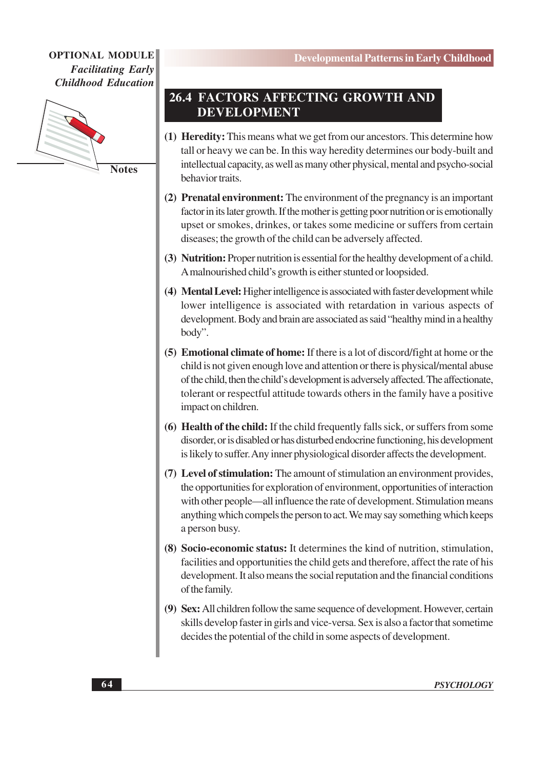

**Notes** 

### 26.4 FACTORS AFFECTING GROWTH AND **DEVELOPMENT**

- (1) Heredity: This means what we get from our ancestors. This determine how tall or heavy we can be. In this way heredity determines our body-built and intellectual capacity, as well as many other physical, mental and psycho-social behavior traits.
- (2) Prenatal environment: The environment of the pregnancy is an important factor in its later growth. If the mother is getting poor nutrition or is emotionally upset or smokes, drinkes, or takes some medicine or suffers from certain diseases; the growth of the child can be adversely affected.
- (3) Nutrition: Proper nutrition is essential for the healthy development of a child. A malnourished child's growth is either stunted or loopsided.
- (4) Mental Level: Higher intelligence is associated with faster development while lower intelligence is associated with retardation in various aspects of development. Body and brain are associated as said "healthy mind in a healthy body".
- (5) Emotional climate of home: If there is a lot of discord/fight at home or the child is not given enough love and attention or there is physical/mental abuse of the child, then the child's development is adversely affected. The affectionate, tolerant or respectful attitude towards others in the family have a positive impact on children.
- (6) Health of the child: If the child frequently falls sick, or suffers from some disorder, or is disabled or has disturbed endocrine functioning, his development is likely to suffer. Any inner physiological disorder affects the development.
- (7) Level of stimulation: The amount of stimulation an environment provides, the opportunities for exploration of environment, opportunities of interaction with other people—all influence the rate of development. Stimulation means anything which compels the person to act. We may say something which keeps a person busy.
- (8) Socio-economic status: It determines the kind of nutrition, stimulation, facilities and opportunities the child gets and therefore, affect the rate of his development. It also means the social reputation and the financial conditions of the family.
- (9) Sex: All children follow the same sequence of development. However, certain skills develop faster in girls and vice-versa. Sex is also a factor that sometime decides the potential of the child in some aspects of development.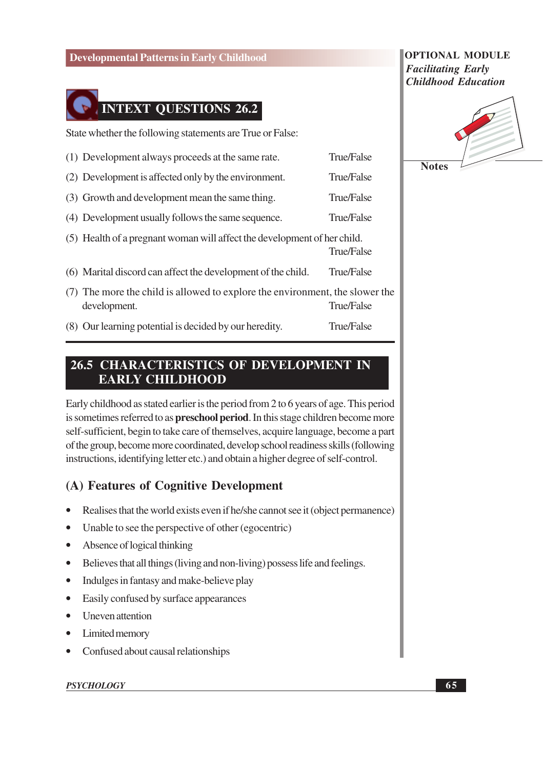

State whether the following statements are True or False:

- (1) Development always proceeds at the same rate. True/False (2) Development is affected only by the environment. True/False
- (3) Growth and development mean the same thing. **True/False**
- (4) Development usually follows the same sequence. True/False
- (5) Health of a pregnant woman will affect the development of her child. True/False
- True/False (6) Marital discord can affect the development of the child.
- (7) The more the child is allowed to explore the environment, the slower the development. **True/False**
- (8) Our learning potential is decided by our heredity. True/False

### **26.5 CHARACTERISTICS OF DEVELOPMENT IN EARLY CHILDHOOD**

Early childhood as stated earlier is the period from 2 to 6 years of age. This period is sometimes referred to as **preschool period**. In this stage children become more self-sufficient, begin to take care of themselves, acquire language, become a part of the group, become more coordinated, develop school readiness skills (following instructions, identifying letter etc.) and obtain a higher degree of self-control.

### (A) Features of Cognitive Development

- Realises that the world exists even if he/she cannot see it (object permanence)
- Unable to see the perspective of other (egocentric)  $\bullet$
- Absence of logical thinking  $\bullet$
- Believes that all things (living and non-living) possess life and feelings.  $\bullet$
- Indulges in fantasy and make-believe play  $\bullet$
- Easily confused by surface appearances  $\bullet$
- $\bullet$ **Uneven attention**
- $\bullet$ Limited memory
- Confused about causal relationships

#### **PSYCHOLOGY**

### **OPTIONAL MODULE Facilitating Early Childhood Education**

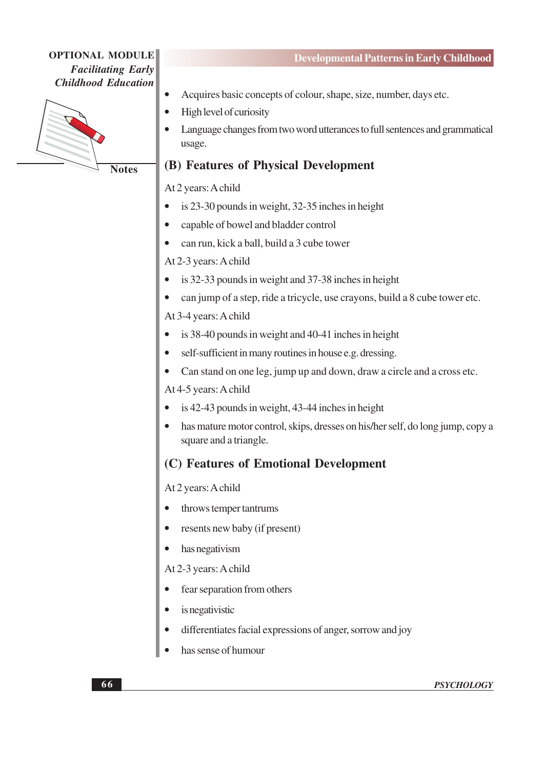

**Notes** 

- Acquires basic concepts of colour, shape, size, number, days etc.
- High level of curiosity  $\bullet$
- Language changes from two word utterances to full sentences and grammatical  $\bullet$ usage.

### (B) Features of Physical Development

At 2 years: A child

- is 23-30 pounds in weight, 32-35 inches in height
- capable of bowel and bladder control
- can run, kick a ball, build a 3 cube tower  $\bullet$

At 2-3 years: A child

- is 32-33 pounds in weight and 37-38 inches in height
- can jump of a step, ride a tricycle, use crayons, build a 8 cube tower etc.

At 3-4 years: A child

- is 38-40 pounds in weight and 40-41 inches in height
- self-sufficient in many routines in house e.g. dressing.
- Can stand on one leg, jump up and down, draw a circle and a cross etc.

At 4-5 years: A child

- is  $42-43$  pounds in weight,  $43-44$  inches in height
- has mature motor control, skips, dresses on his/her self, do long jump, copy a square and a triangle.

### (C) Features of Emotional Development

At 2 years: A child

- throws temper tantrums
- resents new baby (if present)
- has negativism

At 2-3 years: A child

- fear separation from others
- is negativistic
- differentiates facial expressions of anger, sorrow and joy
- has sense of humour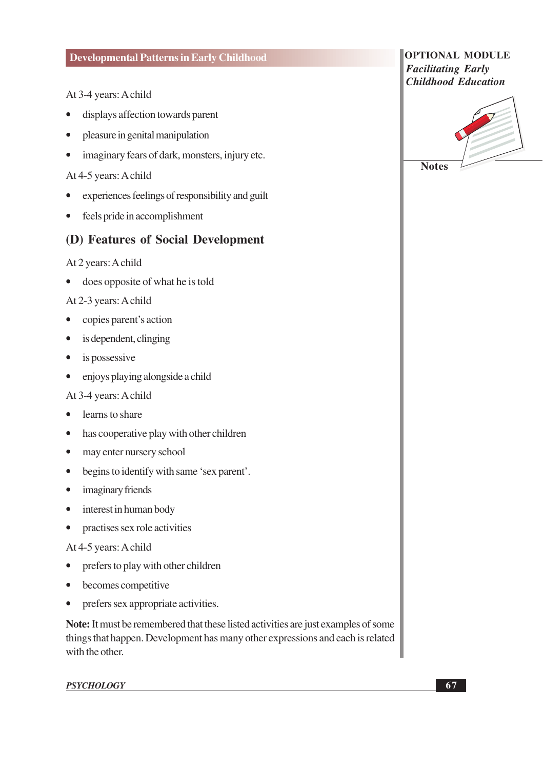### At 3-4 years: A child

- displays affection towards parent
- pleasure in genital manipulation
- imaginary fears of dark, monsters, injury etc.  $\bullet$

### At 4-5 years: A child

- experiences feelings of responsibility and guilt  $\bullet$
- $\bullet$ feels pride in accomplishment

### (D) Features of Social Development

#### At 2 years: A child

• does opposite of what he is told

#### At 2-3 years: A child

- copies parent's action  $\bullet$
- $\bullet$ is dependent, clinging
- is possessive  $\bullet$
- $\bullet$ enjoys playing alongside a child

#### At 3-4 years: A child

- learns to share  $\bullet$
- has cooperative play with other children  $\bullet$
- may enter nursery school  $\bullet$
- begins to identify with same 'sex parent'.
- imaginary friends
- interest in human body  $\bullet$
- practises sex role activities  $\bullet$

#### At 4-5 years: A child

- prefers to play with other children  $\bullet$
- becomes competitive  $\bullet$
- prefers sex appropriate activities.  $\bullet$

Note: It must be remembered that these listed activities are just examples of some things that happen. Development has many other expressions and each is related with the other.

**PSYCHOLOGY** 

| <b>OPTIONAL MODULE</b>     |  |
|----------------------------|--|
| <b>Facilitating Early</b>  |  |
| <b>Childhood Education</b> |  |

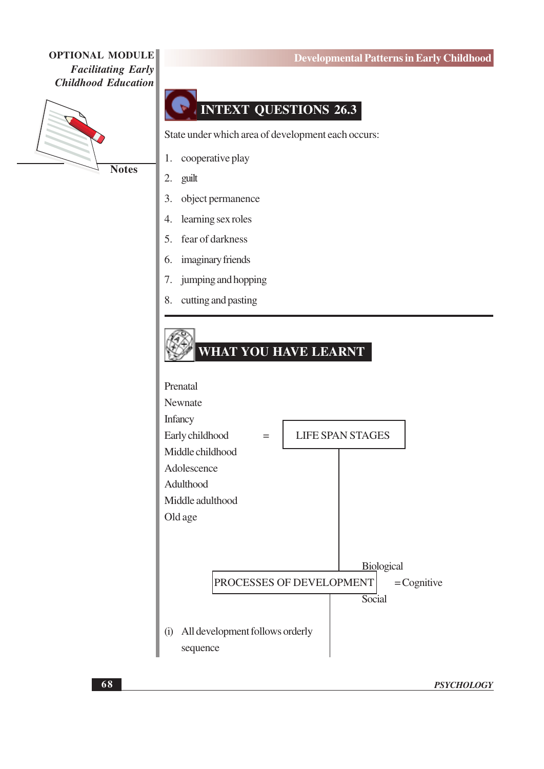

**Notes** 

## **INTEXT QUESTIONS 26.3**

State under which area of development each occurs:

cooperative play  $1.$ 

- $\overline{2}$ . guilt
- object permanence  $\overline{3}$ .
- learning sex roles  $\overline{4}$ .
- fear of darkness 5.
- imaginary friends 6.
- 7. jumping and hopping
- cutting and pasting 8.



### **Developmental Patterns in Early Childhood**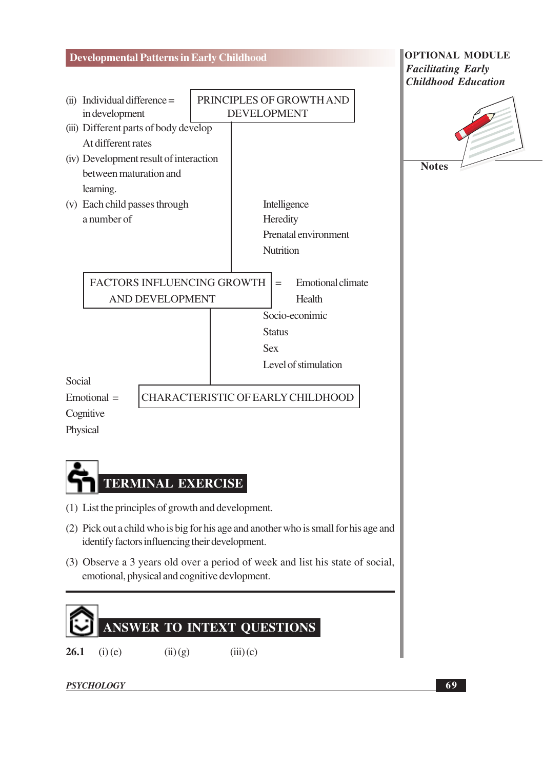

26.1  $(i)$  (e)  $(ii)(g)$  $(iii)(c)$ 

**PSYCHOLOGY**